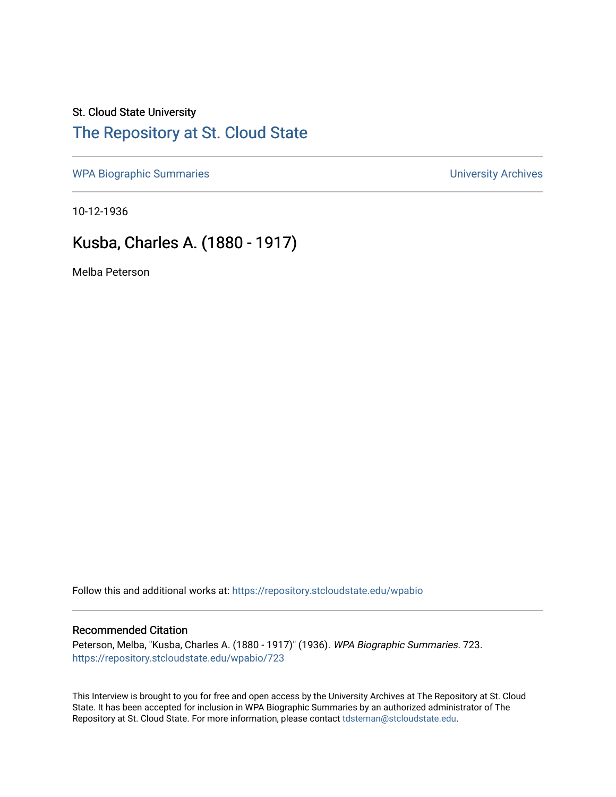## St. Cloud State University [The Repository at St. Cloud State](https://repository.stcloudstate.edu/)

[WPA Biographic Summaries](https://repository.stcloudstate.edu/wpabio) **WPA Biographic Summaries University Archives** 

10-12-1936

# Kusba, Charles A. (1880 - 1917)

Melba Peterson

Follow this and additional works at: [https://repository.stcloudstate.edu/wpabio](https://repository.stcloudstate.edu/wpabio?utm_source=repository.stcloudstate.edu%2Fwpabio%2F723&utm_medium=PDF&utm_campaign=PDFCoverPages) 

#### Recommended Citation

Peterson, Melba, "Kusba, Charles A. (1880 - 1917)" (1936). WPA Biographic Summaries. 723. [https://repository.stcloudstate.edu/wpabio/723](https://repository.stcloudstate.edu/wpabio/723?utm_source=repository.stcloudstate.edu%2Fwpabio%2F723&utm_medium=PDF&utm_campaign=PDFCoverPages) 

This Interview is brought to you for free and open access by the University Archives at The Repository at St. Cloud State. It has been accepted for inclusion in WPA Biographic Summaries by an authorized administrator of The Repository at St. Cloud State. For more information, please contact [tdsteman@stcloudstate.edu.](mailto:tdsteman@stcloudstate.edu)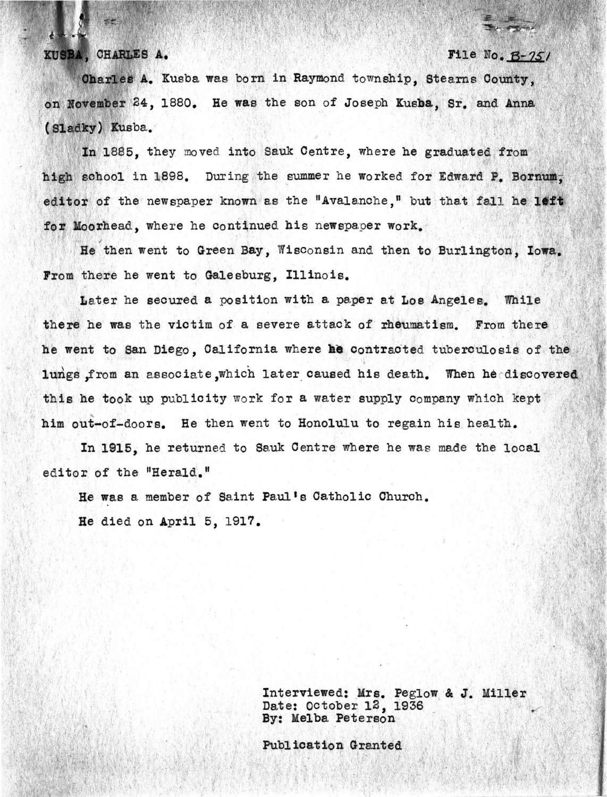#### KUSBA, CHARLES A.

File No.  $B-751$ 

Charles A. Kusba was born in Raymond township. Stearns County. on November 24, 1880. He was the son of Joseph Kusba, Sr. and Anna (Sladky) Kusba.

In 1885, they moved into Sauk Centre, where he graduated from high school in 1898. During the summer he worked for Edward P. Bornum. editor of the newspaper known as the "Avalanche," but that fall he left for Moorhead, where he continued his newspaper work.

He then went to Green Bay, Wisconsin and then to Burlington, Iowa. From there he went to Galesburg, Illinois.

Later he secured a position with a paper at Los Angeles. While there he was the victim of a severe attack of rheumatism. From there he went to San Diego. California where he contracted tuberculosis of the lungs from an associate which later caused his death. When he discovered this he took up publicity work for a water supply company which kept him out-of-doors. He then went to Honolulu to regain his health.

In 1915, he returned to Sauk Centre where he was made the local editor of the "Herald."

He was a member of Saint Paul's Catholic Church. He died on April 5, 1917.

> Interviewed: Mrs. Peglow & J. Miller Date: October 12, 1936 By: Melba Peterson

Publication Granted